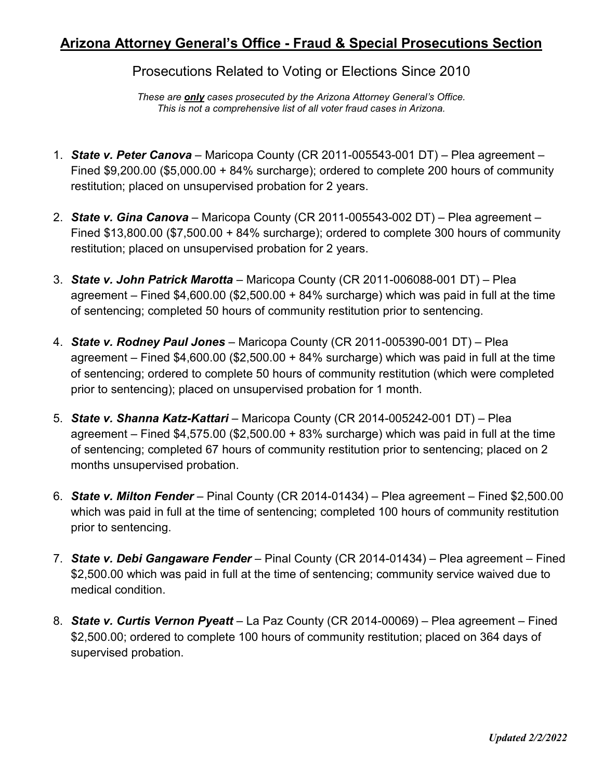## **Arizona Attorney General's Office - Fraud & Special Prosecutions Section**

Prosecutions Related to Voting or Elections Since 2010

*These are only cases prosecuted by the Arizona Attorney General's Office. This is not a comprehensive list of all voter fraud cases in Arizona.*

- 1. *State v. Peter Canova* Maricopa County (CR 2011-005543-001 DT) Plea agreement Fined \$9,200.00 (\$5,000.00 + 84% surcharge); ordered to complete 200 hours of community restitution; placed on unsupervised probation for 2 years.
- 2. *State v. Gina Canova* Maricopa County (CR 2011-005543-002 DT) Plea agreement Fined \$13,800.00 (\$7,500.00 + 84% surcharge); ordered to complete 300 hours of community restitution; placed on unsupervised probation for 2 years.
- 3. *State v. John Patrick Marotta* Maricopa County (CR 2011-006088-001 DT) Plea agreement – Fined  $$4,600.00$  ( $$2,500.00 + 84\%$  surcharge) which was paid in full at the time of sentencing; completed 50 hours of community restitution prior to sentencing.
- 4. *State v. Rodney Paul Jones* Maricopa County (CR 2011-005390-001 DT) Plea agreement – Fined  $$4,600.00$  ( $$2,500.00 + 84\%$  surcharge) which was paid in full at the time of sentencing; ordered to complete 50 hours of community restitution (which were completed prior to sentencing); placed on unsupervised probation for 1 month.
- 5. *State v. Shanna Katz-Kattari* Maricopa County (CR 2014-005242-001 DT) Plea agreement – Fined  $$4,575.00$  ( $$2,500.00 + 83%$  surcharge) which was paid in full at the time of sentencing; completed 67 hours of community restitution prior to sentencing; placed on 2 months unsupervised probation.
- 6. *State v. Milton Fender* Pinal County (CR 2014-01434) Plea agreement Fined \$2,500.00 which was paid in full at the time of sentencing; completed 100 hours of community restitution prior to sentencing.
- 7. *State v. Debi Gangaware Fender* Pinal County (CR 2014-01434) Plea agreement Fined \$2,500.00 which was paid in full at the time of sentencing; community service waived due to medical condition.
- 8. *State v. Curtis Vernon Pyeatt* La Paz County (CR 2014-00069) Plea agreement Fined \$2,500.00; ordered to complete 100 hours of community restitution; placed on 364 days of supervised probation.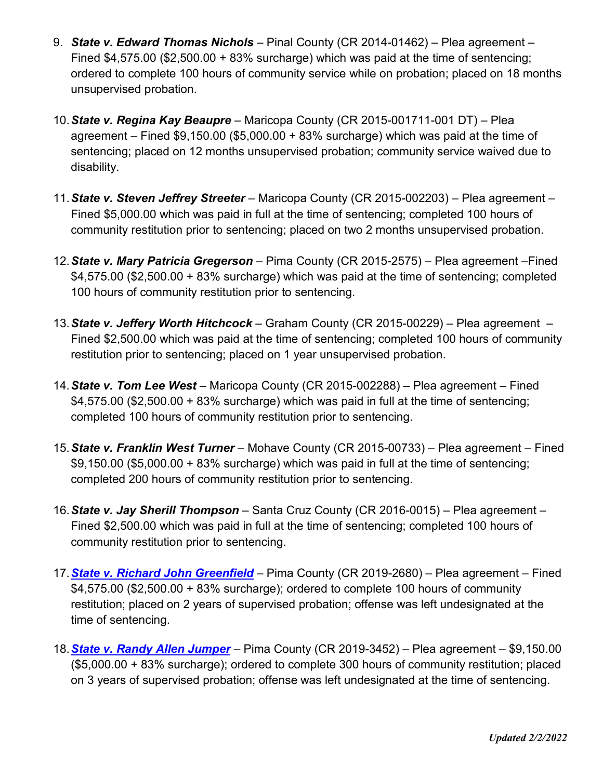- 9. *State v. Edward Thomas Nichols* Pinal County (CR 2014-01462) Plea agreement Fined \$4,575.00 (\$2,500.00 + 83% surcharge) which was paid at the time of sentencing; ordered to complete 100 hours of community service while on probation; placed on 18 months unsupervised probation.
- 10.*State v. Regina Kay Beaupre* Maricopa County (CR 2015-001711-001 DT) Plea agreement – Fined  $$9,150.00$  ( $$5,000.00 + 83\%$  surcharge) which was paid at the time of sentencing; placed on 12 months unsupervised probation; community service waived due to disability.
- 11.*State v. Steven Jeffrey Streeter* Maricopa County (CR 2015-002203) Plea agreement Fined \$5,000.00 which was paid in full at the time of sentencing; completed 100 hours of community restitution prior to sentencing; placed on two 2 months unsupervised probation.
- 12.*State v. Mary Patricia Gregerson* Pima County (CR 2015-2575) Plea agreement –Fined \$4,575.00 (\$2,500.00 + 83% surcharge) which was paid at the time of sentencing; completed 100 hours of community restitution prior to sentencing.
- 13.*State v. Jeffery Worth Hitchcock* Graham County (CR 2015-00229) Plea agreement Fined \$2,500.00 which was paid at the time of sentencing; completed 100 hours of community restitution prior to sentencing; placed on 1 year unsupervised probation.
- 14.*State v. Tom Lee West* Maricopa County (CR 2015-002288) Plea agreement Fined  $$4,575.00$  (\$2,500.00 + 83% surcharge) which was paid in full at the time of sentencing; completed 100 hours of community restitution prior to sentencing.
- 15.*State v. Franklin West Turner* Mohave County (CR 2015-00733) Plea agreement Fined  $$9,150.00$  (\$5,000.00 + 83% surcharge) which was paid in full at the time of sentencing; completed 200 hours of community restitution prior to sentencing.
- 16.*State v. Jay Sherill Thompson* Santa Cruz County (CR 2016-0015) Plea agreement Fined \$2,500.00 which was paid in full at the time of sentencing; completed 100 hours of community restitution prior to sentencing.
- 17.*[State v. Richard John Greenfield](https://www.azag.gov/press-release/arizona-man-sentenced-two-years-probation-voter-fraud)* Pima County (CR 2019-2680) Plea agreement Fined \$4,575.00 (\$2,500.00 + 83% surcharge); ordered to complete 100 hours of community restitution; placed on 2 years of supervised probation; offense was left undesignated at the time of sentencing.
- 18.*[State v. Randy Allen Jumper](https://www.azag.gov/press-release/former-tucson-man-sentenced-double-voting-2016-election)* Pima County (CR 2019-3452) Plea agreement \$9,150.00 (\$5,000.00 + 83% surcharge); ordered to complete 300 hours of community restitution; placed on 3 years of supervised probation; offense was left undesignated at the time of sentencing.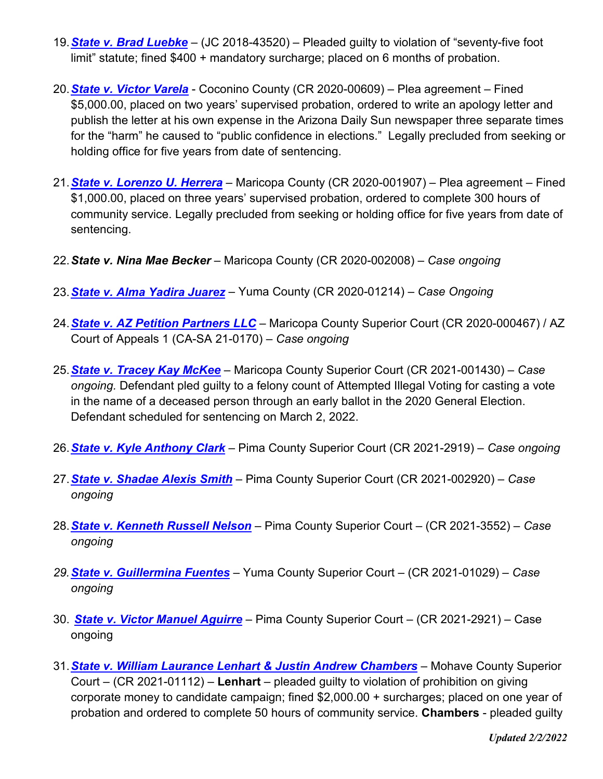- 19.*State v. [Brad Luebke](https://www.azag.gov/press-release/goodyear-man-receives-probation-and-fine-disrupting-polling-place-2018)* (JC 2018-43520) Pleaded guilty to violation of "seventy-five foot limit" statute; fined \$400 + mandatory surcharge; placed on 6 months of probation.
- 20.*[State v. Victor Varela](https://www.azag.gov/press-release/former-flagstaff-mayoral-candidate-indicted-submitting-forged-signatures)* Coconino County (CR 2020-00609) Plea agreement Fined \$5,000.00, placed on two years' supervised probation, ordered to write an apology letter and publish the letter at his own expense in the Arizona Daily Sun newspaper three separate times for the "harm" he caused to "public confidence in elections." Legally precluded from seeking or holding office for five years from date of sentencing.
- 21.*[State v. Lorenzo U. Herrera](https://www.azag.gov/press-release/former-state-senate-candidate-indicted-forging-signatures-qualify-citizens-clean)* Maricopa County (CR 2020-001907) Plea agreement Fined \$1,000.00, placed on three years' supervised probation, ordered to complete 300 hours of community service. Legally precluded from seeking or holding office for five years from date of sentencing.
- 22.*State v. Nina Mae Becker* Maricopa County (CR 2020-002008) *Case ongoing*
- 23.*[State v. Alma Yadira Juarez](https://www.azag.gov/press-release/two-individuals-accused-ballot-harvesting-yuma-county)* Yuma County (CR 2020-01214) *Case Ongoing*
- 24.*[State v. AZ Petition Partners LLC](https://www.azag.gov/press-release/phoenix-petition-signature-gathering-company-faces-criminal-charges-alleged-illegal)* Maricopa County Superior Court (CR 2020-000467) / AZ Court of Appeals 1 (CA-SA 21-0170) – *Case ongoing*
- 25.*[State v. Tracey Kay McKee](https://www.azag.gov/press-release/scottsdale-woman-pleads-guilty-casting-illegal-vote-name-her-deceased-mother)* Maricopa County Superior Court (CR 2021-001430) *Case ongoing.* Defendant pled guilty to a felony count of Attempted Illegal Voting for casting a vote in the name of a deceased person through an early ballot in the 2020 General Election. Defendant scheduled for sentencing on March 2, 2022.
- 26.*[State v. Kyle Anthony Clark](https://www.azag.gov/press-release/attorney-general-brnovich-announces-charges-against-tucson-man-allegedly-illegally)* Pima County Superior Court (CR 2021-2919) *Case ongoing*
- 27.*[State v. Shadae Alexis Smith](https://www.azag.gov/press-release/two-more-inmates-indicted-false-registration-and-illegal-voting-while-serving-inmates)* Pima County Superior Court (CR 2021-002920) *Case ongoing*
- 28.*[State v. Kenneth Russell Nelson](https://www.azag.gov/press-release/tucson-man-indicted-allegedly-illegally-voting-2020-election)* Pima County Superior Court (CR 2021-3552) *Case ongoing*
- *29.[State v. Guillermina Fuentes](https://www.azag.gov/press-release/san-luis-woman-facing-additional-ballot-abuse-charges)* Yuma County Superior Court (CR 2021-01029) *Case ongoing*
- 30. *[State v. Victor Manuel Aguirre](https://www.azag.gov/press-release/sahuarita-man-indicted-allegedly-illegally-voting)* Pima County Superior Court (CR 2021-2921) Case ongoing
- 31.*[State v. William Laurance Lenhart & Justin Andrew Chambers](https://mcusercontent.com/cc1fad182b6d6f8b1e352e206/files/a62218e0-a94a-b3b6-a19f-8524d374ef23/PHX_9824157_v1_P0022018001614___Lenhart__William_et__al____Signed_Indictment.pdf)* Mohave County Superior Court – (CR 2021-01112) – **Lenhart** – pleaded guilty to violation of prohibition on giving corporate money to candidate campaign; fined \$2,000.00 + surcharges; placed on one year of probation and ordered to complete 50 hours of community service. **Chambers** - pleaded guilty